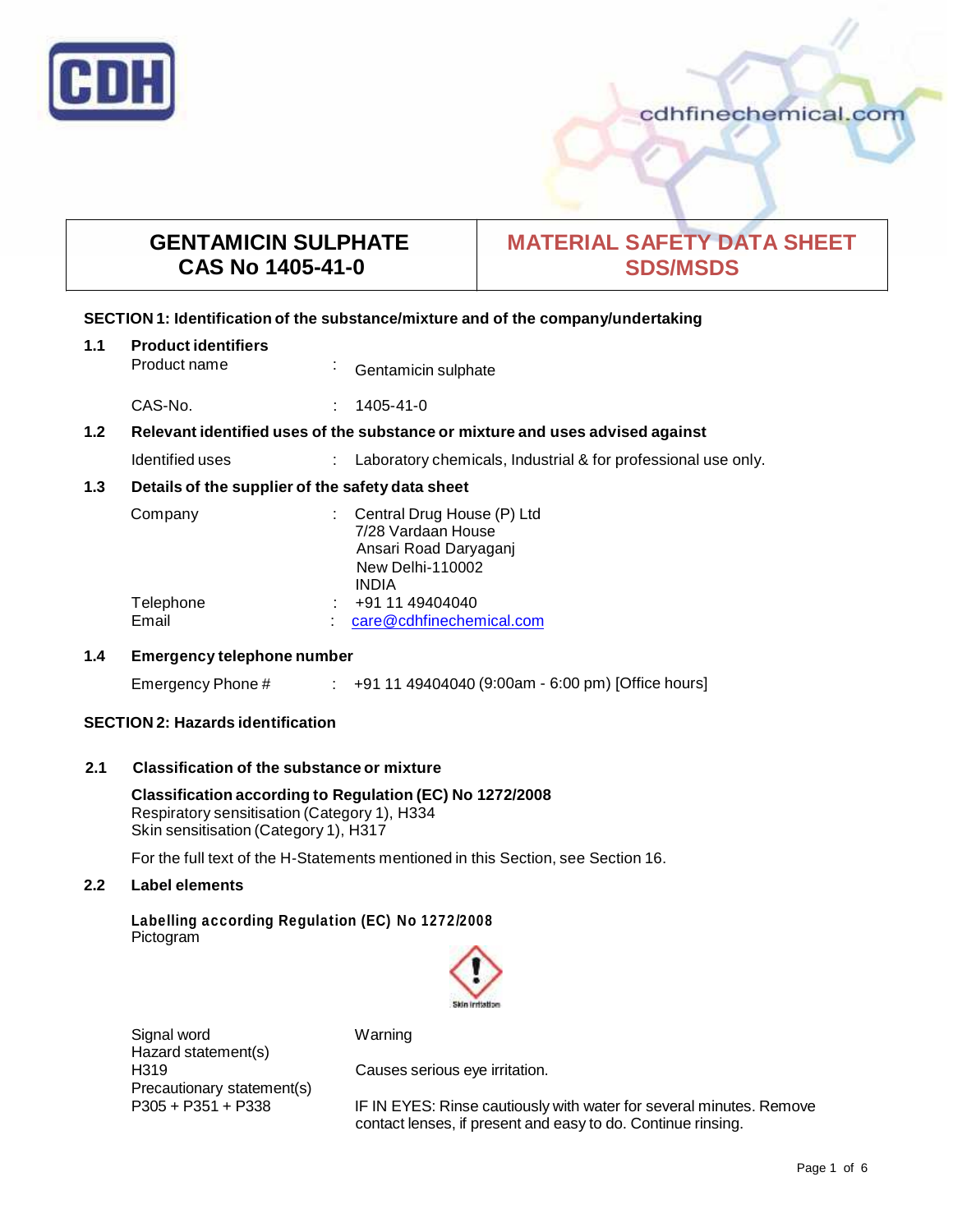

# cdhfinechemical.com

# **GENTAMICIN SULPHATE CAS No 1405-41-0**

# **MATERIAL SAFETY DATA SHEET SDS/MSDS**

# **SECTION 1: Identification of the substance/mixture and of the company/undertaking**

| 1.1                                                     | <b>Product identifiers</b><br>Product name                                    | ×. | Gentamicin sulphate                                                                                                  |
|---------------------------------------------------------|-------------------------------------------------------------------------------|----|----------------------------------------------------------------------------------------------------------------------|
|                                                         | CAS-No.                                                                       |    | 1405-41-0                                                                                                            |
| 1.2                                                     | Relevant identified uses of the substance or mixture and uses advised against |    |                                                                                                                      |
|                                                         | Identified uses                                                               |    | Laboratory chemicals, Industrial & for professional use only.                                                        |
| Details of the supplier of the safety data sheet<br>1.3 |                                                                               |    |                                                                                                                      |
|                                                         | Company                                                                       |    | Central Drug House (P) Ltd<br>7/28 Vardaan House<br>Ansari Road Daryaganj<br><b>New Delhi-110002</b><br><b>INDIA</b> |
|                                                         | Telephone<br>Email                                                            |    | +91 11 49404040<br>care@cdhfinechemical.com                                                                          |

# **1.4 Emergency telephone number**

| Emergency Phone # |  | +91 11 49404040 (9:00am - 6:00 pm) [Office hours] |
|-------------------|--|---------------------------------------------------|
|-------------------|--|---------------------------------------------------|

# **SECTION 2: Hazards identification**

# **2.1 Classification of the substance ormixture**

**Classification according to Regulation (EC) No 1272/2008** Respiratory sensitisation (Category 1), H334 Skin sensitisation (Category 1), H317

For the full text of the H-Statements mentioned in this Section, see Section 16.

# **2.2 Label elements**

**Labelling according Regulation (EC) No 1272/2008** Pictogram



Signal word Warning Hazard statement(s) Precautionary statement(s)<br>P305 + P351 + P338

H319 Causes serious eye irritation.

IF IN EYES: Rinse cautiously with water for several minutes. Remove contact lenses, if present and easy to do. Continue rinsing.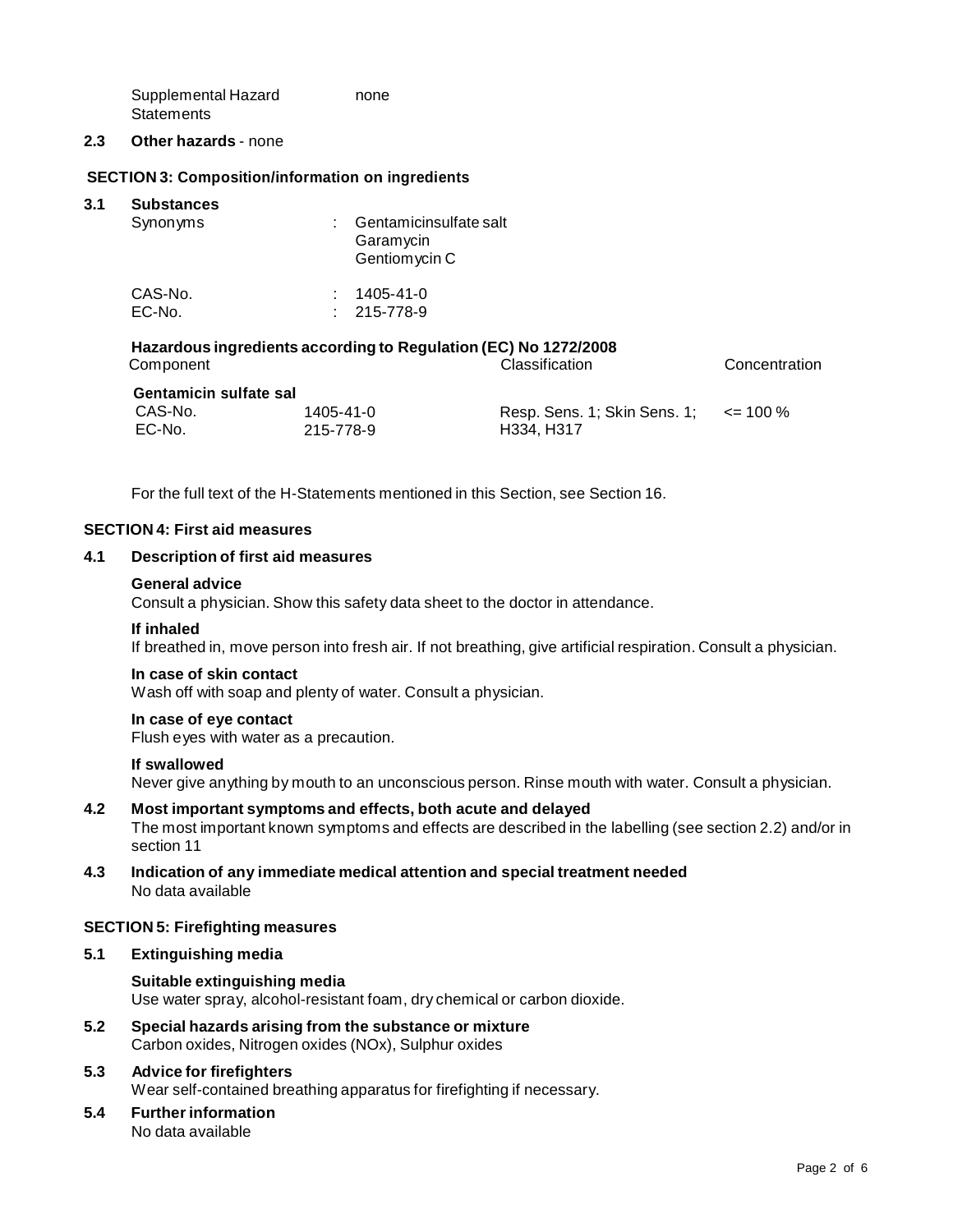Supplemental Hazard **Statements** none

#### **2.3 Other hazards** - none

# **SECTION 3: Composition/information on ingredients**

| 3.1 | <b>Substances</b><br>Synonyms | Gentamicinsulfate salt<br>Garamycin<br>Gentiom ycin C |  |
|-----|-------------------------------|-------------------------------------------------------|--|
|     | CAS-No.                       | 1405-41-0                                             |  |
|     | EC-No.                        | $: 215 - 778 - 9$                                     |  |
|     |                               |                                                       |  |

# **Hazardous ingredients according to Regulation (EC) No 1272/2008**

| Component                     |           | Classification                             | Concentration |  |  |
|-------------------------------|-----------|--------------------------------------------|---------------|--|--|
| <b>Gentamicin sulfate sal</b> |           |                                            |               |  |  |
| CAS-No.                       | 1405-41-0 | Resp. Sens. 1; Skin Sens. 1; $\le$ = 100 % |               |  |  |
| EC-No.                        | 215-778-9 | H334, H317                                 |               |  |  |

For the full text of the H-Statements mentioned in this Section, see Section 16.

### **SECTION 4: First aid measures**

### **4.1 Description of first aid measures**

#### **General advice**

Consult a physician. Show this safety data sheet to the doctor in attendance.

#### **If inhaled**

If breathed in, move person into fresh air. If not breathing, give artificial respiration. Consult a physician.

#### **In case of skin contact**

Wash off with soap and plenty of water. Consult a physician.

#### **In case of eye contact**

Flush eyes with water as a precaution.

#### **If swallowed**

Never give anything by mouth to an unconscious person. Rinse mouth with water. Consult a physician.

#### **4.2 Most important symptoms and effects, both acute and delayed**

The most important known symptoms and effects are described in the labelling (see section 2.2) and/or in section 11

**4.3 Indication of any immediate medical attention and special treatment needed** No data available

#### **SECTION 5: Firefighting measures**

### **5.1 Extinguishing media**

#### **Suitable extinguishing media**

Use water spray, alcohol-resistant foam, dry chemical or carbon dioxide.

**5.2 Special hazards arising from the substance ormixture** Carbon oxides, Nitrogen oxides (NOx), Sulphur oxides

# **5.3 Advice for firefighters**

Wear self-contained breathing apparatus for firefighting if necessary.

# **5.4 Further information**

No data available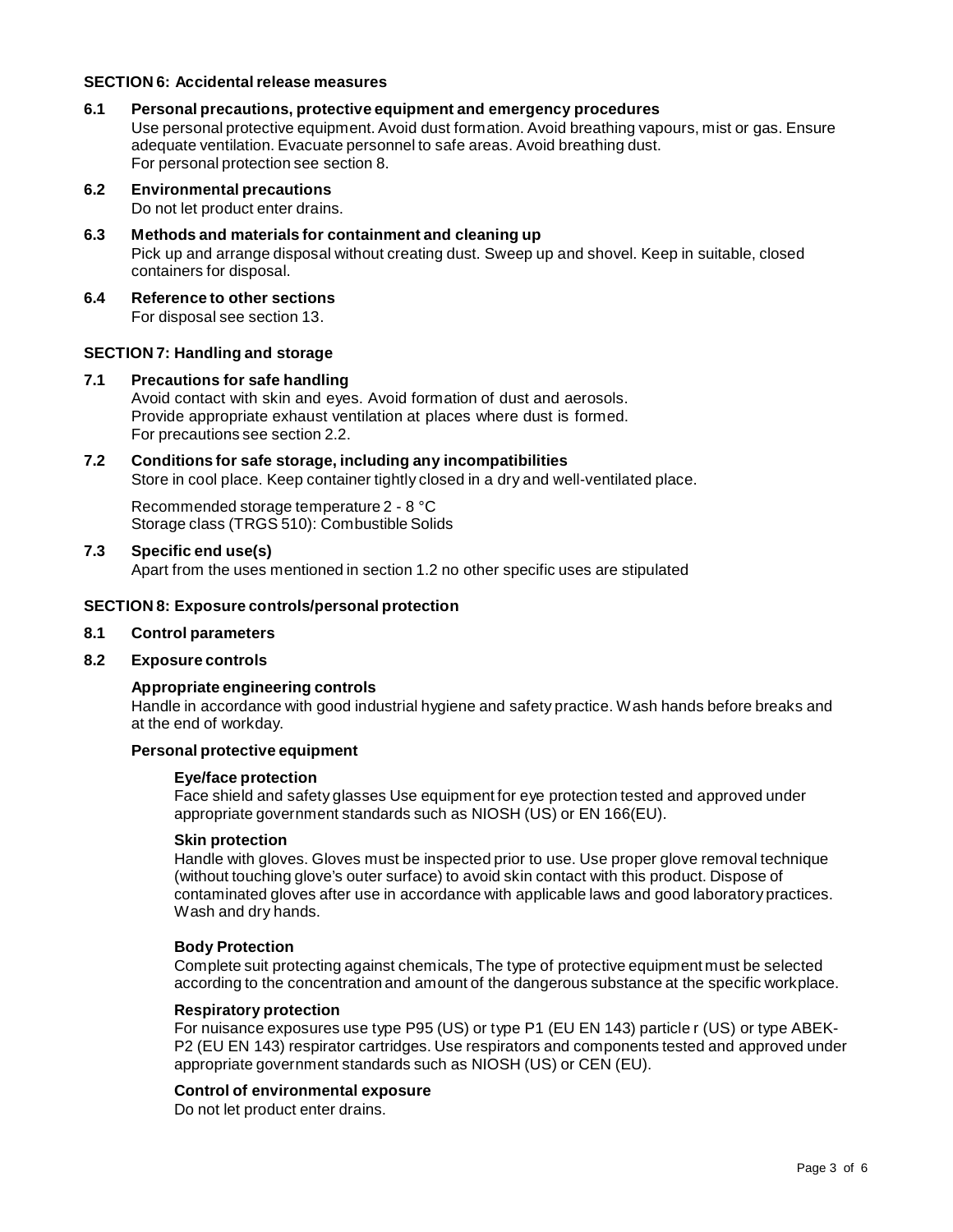# **SECTION 6: Accidentalrelease measures**

- **6.1 Personal precautions, protective equipment and emergency procedures** Use personal protective equipment. Avoid dust formation. Avoid breathing vapours, mist or gas. Ensure adequate ventilation. Evacuate personnel to safe areas. Avoid breathing dust. For personal protection see section 8.
- **6.2 Environmental precautions**

Do not let product enter drains.

- **6.3 Methods and materials for containment and cleaning up** Pick up and arrange disposal without creating dust. Sweep up and shovel. Keep in suitable, closed containers for disposal.
- **6.4 Reference to other sections**

For disposal see section 13.

## **SECTION 7: Handling and storage**

### **7.1 Precautions for safe handling**

Avoid contact with skin and eyes. Avoid formation of dust and aerosols. Provide appropriate exhaust ventilation at places where dust is formed. For precautions see section 2.2.

# **7.2 Conditions for safe storage, including any incompatibilities**

Store in cool place. Keep container tightly closed in a dry and well-ventilated place.

Recommended storage temperature 2 - 8 °C Storage class (TRGS 510): Combustible Solids

## **7.3 Specific end use(s)**

Apart from the uses mentioned in section 1.2 no other specific uses are stipulated

### **SECTION 8: Exposure controls/personal protection**

#### **8.1 Control parameters**

**8.2 Exposure controls**

# **Appropriate engineering controls**

Handle in accordance with good industrial hygiene and safety practice. Wash hands before breaks and at the end of workday.

# **Personal protective equipment**

### **Eye/face protection**

Face shield and safety glasses Use equipment for eye protection tested and approved under appropriate government standards such as NIOSH (US) or EN 166(EU).

## **Skin protection**

Handle with gloves. Gloves must be inspected prior to use. Use proper glove removal technique (without touching glove's outer surface) to avoid skin contact with this product. Dispose of contaminated gloves after use in accordance with applicable laws and good laboratory practices. Wash and dry hands.

# **Body Protection**

Complete suit protecting against chemicals, The type of protective equipment must be selected according to the concentration and amount of the dangerous substance at the specific workplace.

#### **Respiratory protection**

For nuisance exposures use type P95 (US) or type P1 (EU EN 143) particle r (US) or type ABEK- P2 (EU EN 143) respirator cartridges. Use respirators and components tested and approved under appropriate government standards such as NIOSH (US) or CEN (EU).

# **Control of environmental exposure**

Do not let product enter drains.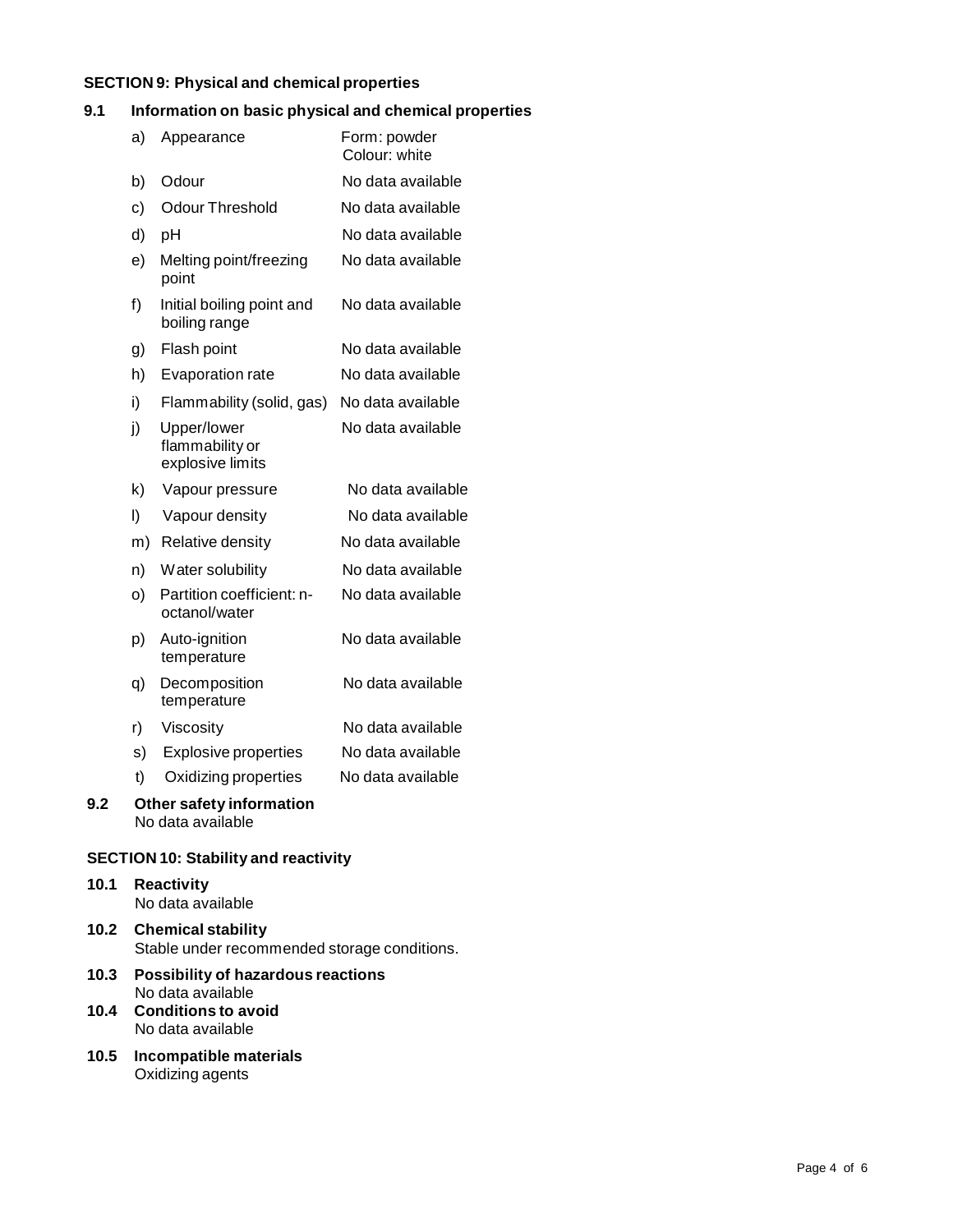# **SECTION 9: Physical and chemical properties**

# **9.1 Information on basic physical and chemical properties**

|     | a) | Appearance                                         | Form: powder<br>Colour: white |
|-----|----|----------------------------------------------------|-------------------------------|
|     | b) | Odour                                              | No data available             |
|     | c) | <b>Odour Threshold</b>                             | No data available             |
|     | d) | pH                                                 | No data available             |
|     | e) | Melting point/freezing<br>point                    | No data available             |
|     | f) | Initial boiling point and<br>boiling range         | No data available             |
|     | g) | Flash point                                        | No data available             |
|     | h) | Evaporation rate                                   | No data available             |
|     | i) | Flammability (solid, gas)                          | No data available             |
|     | j) | Upper/lower<br>flammability or<br>explosive limits | No data available             |
|     | k) | Vapour pressure                                    | No data available             |
|     | I) | Vapour density                                     | No data available             |
|     | m) | Relative density                                   | No data available             |
|     | n) | Water solubility                                   | No data available             |
|     | O) | Partition coefficient: n-<br>octanol/water         | No data available             |
|     | p) | Auto-ignition<br>temperature                       | No data available             |
|     | q) | Decomposition<br>temperature                       | No data available             |
|     | r) | Viscosity                                          | No data available             |
|     | s) | <b>Explosive properties</b>                        | No data available             |
|     | t) | Oxidizing properties                               | No data available             |
| 9.2 |    | Other safety information<br>No data available      |                               |

# **SECTION 10: Stability and reactivity**

# **10.1 Reactivity** No data available **10.2 Chemical stability**

- Stable under recommended storage conditions.
- **10.3 Possibility of hazardous reactions** No data available **10.4 Conditions to avoid**
- No data available
- **10.5 Incompatible materials** Oxidizing agents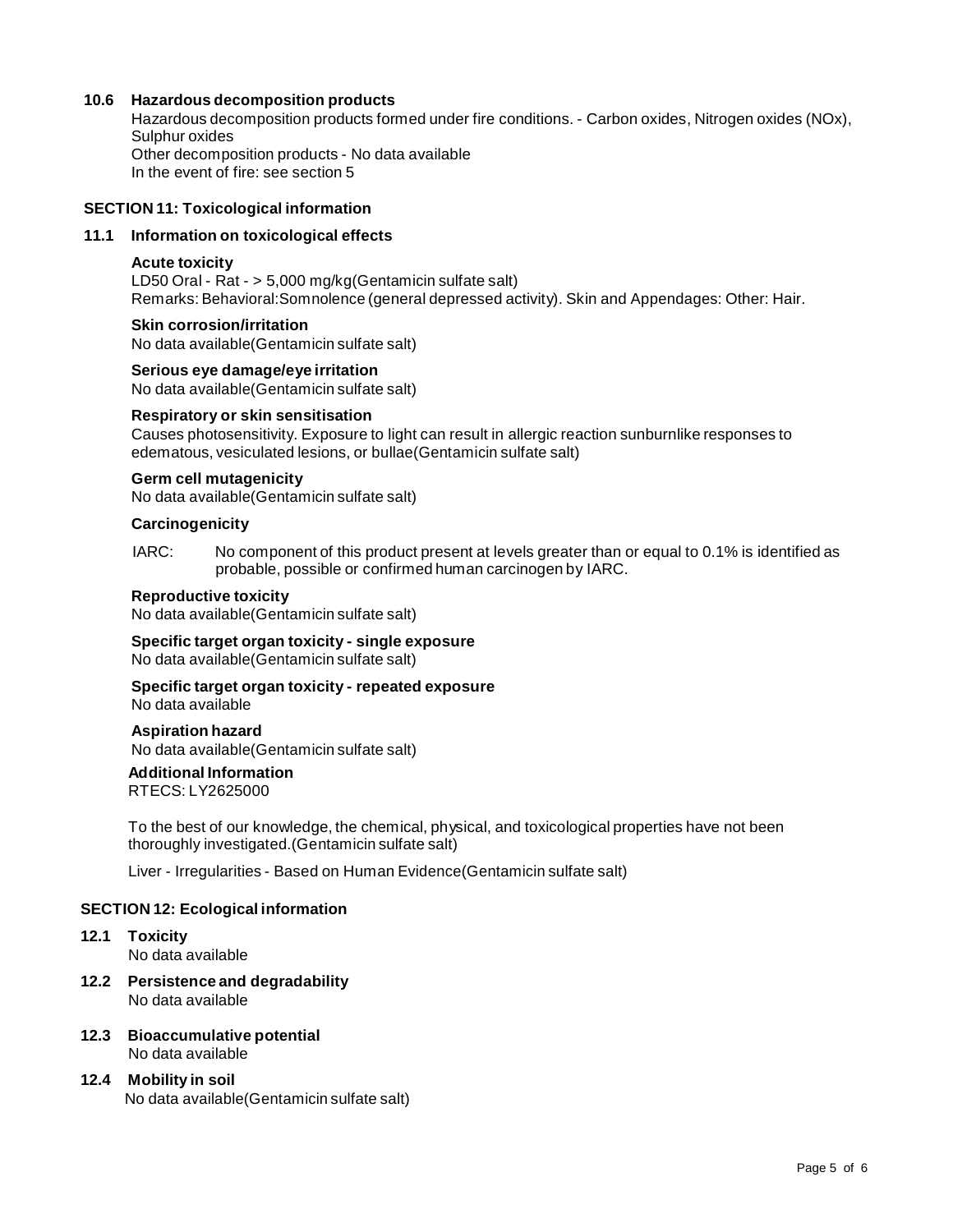# **10.6 Hazardous decomposition products**

Hazardous decomposition products formed under fire conditions. - Carbon oxides, Nitrogen oxides (NOx), Sulphur oxides Other decomposition products - No data available

In the event of fire: see section 5

# **SECTION 11: Toxicological information**

# **11.1 Information on toxicological effects**

### **Acute toxicity**

LD50 Oral - Rat - > 5,000 mg/kg(Gentamicin sulfate salt) Remarks: Behavioral:Somnolence (general depressed activity). Skin and Appendages: Other: Hair.

## **Skin corrosion/irritation**

No data available(Gentamicin sulfate salt)

# **Serious eye damage/eye irritation**

No data available(Gentamicin sulfate salt)

### **Respiratory orskin sensitisation**

Causes photosensitivity. Exposure to light can result in allergic reaction sunburnlike responses to edematous, vesiculated lesions, or bullae(Gentamicin sulfate salt)

# **Germ cell mutagenicity**

No data available(Gentamicin sulfate salt)

### **Carcinogenicity**

IARC: No component of this product present at levels greater than or equal to 0.1% is identified as probable, possible or confirmed human carcinogen by IARC.

#### **Reproductive toxicity**

No data available(Gentamicin sulfate salt)

# **Specific target organ toxicity - single exposure**

No data available(Gentamicin sulfate salt)

# **Specific target organ toxicity - repeated exposure**

No data available

# **Aspiration hazard**

No data available(Gentamicin sulfate salt)

# **Additional Information**

RTECS: LY2625000

To the best of our knowledge, the chemical, physical, and toxicological properties have not been thoroughly investigated.(Gentamicin sulfate salt)

Liver - Irregularities - Based on Human Evidence(Gentamicin sulfate salt)

# **SECTION 12: Ecological information**

- **12.1 Toxicity** No data available
- **12.2 Persistence and degradability** No data available
- **12.3 Bioaccumulative potential** No data available
- **12.4 Mobility in soil** No data available(Gentamicin sulfate salt)